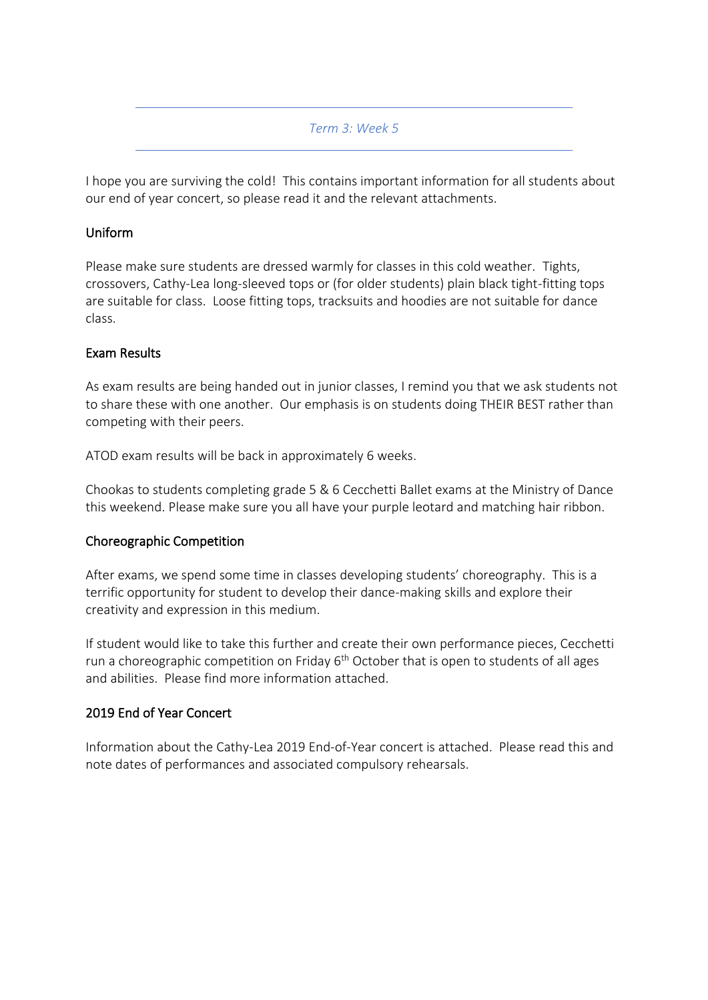#### *Term 3: Week 5*

I hope you are surviving the cold! This contains important information for all students about our end of year concert, so please read it and the relevant attachments.

### Uniform

Please make sure students are dressed warmly for classes in this cold weather. Tights, crossovers, Cathy-Lea long-sleeved tops or (for older students) plain black tight-fitting tops are suitable for class. Loose fitting tops, tracksuits and hoodies are not suitable for dance class.

## Exam Results

As exam results are being handed out in junior classes, I remind you that we ask students not to share these with one another. Our emphasis is on students doing THEIR BEST rather than competing with their peers.

ATOD exam results will be back in approximately 6 weeks.

Chookas to students completing grade 5 & 6 Cecchetti Ballet exams at the Ministry of Dance this weekend. Please make sure you all have your purple leotard and matching hair ribbon.

#### Choreographic Competition

After exams, we spend some time in classes developing students' choreography. This is a terrific opportunity for student to develop their dance-making skills and explore their creativity and expression in this medium.

If student would like to take this further and create their own performance pieces, Cecchetti run a choreographic competition on Friday  $6<sup>th</sup>$  October that is open to students of all ages and abilities. Please find more information attached.

#### 2019 End of Year Concert

Information about the Cathy-Lea 2019 End-of-Year concert is attached. Please read this and note dates of performances and associated compulsory rehearsals.